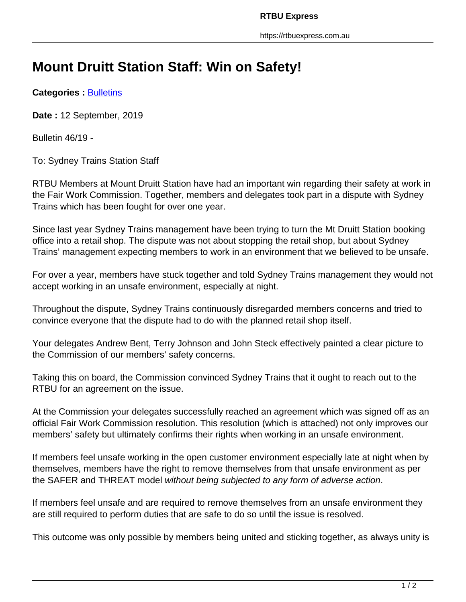## **Mount Druitt Station Staff: Win on Safety!**

**Categories : [Bulletins](https://rtbuexpress.com.au/category/news/bulletins/)** 

**Date :** 12 September, 2019

Bulletin 46/19 -

To: Sydney Trains Station Staff

RTBU Members at Mount Druitt Station have had an important win regarding their safety at work in the Fair Work Commission. Together, members and delegates took part in a dispute with Sydney Trains which has been fought for over one year.

Since last year Sydney Trains management have been trying to turn the Mt Druitt Station booking office into a retail shop. The dispute was not about stopping the retail shop, but about Sydney Trains' management expecting members to work in an environment that we believed to be unsafe.

For over a year, members have stuck together and told Sydney Trains management they would not accept working in an unsafe environment, especially at night.

Throughout the dispute, Sydney Trains continuously disregarded members concerns and tried to convince everyone that the dispute had to do with the planned retail shop itself.

Your delegates Andrew Bent, Terry Johnson and John Steck effectively painted a clear picture to the Commission of our members' safety concerns.

Taking this on board, the Commission convinced Sydney Trains that it ought to reach out to the RTBU for an agreement on the issue.

At the Commission your delegates successfully reached an agreement which was signed off as an official Fair Work Commission resolution. This resolution (which is attached) not only improves our members' safety but ultimately confirms their rights when working in an unsafe environment.

If members feel unsafe working in the open customer environment especially late at night when by themselves, members have the right to remove themselves from that unsafe environment as per the SAFER and THREAT model without being subjected to any form of adverse action.

If members feel unsafe and are required to remove themselves from an unsafe environment they are still required to perform duties that are safe to do so until the issue is resolved.

This outcome was only possible by members being united and sticking together, as always unity is